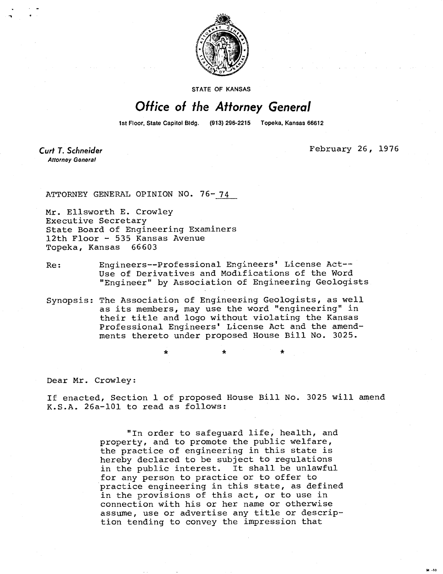

**STATE OF KANSAS** 

## Office of the Attorney General

1st Floor, State Capitol Bldg. (913) 296-2215 Topeka, Kansas 66612

**Curt T. Schneider Attorney General** 

February 26, 1976

ATTORNEY GENERAL OPINION NO. 76-74

Mr. Ellsworth E. Crowley Executive Secretary State Board of Engineering Examiners 12th Floor - 535 Kansas Avenue Topeka, Kansas 66603

- Re: Engineers--Professional Engineers' License Act-- Use of Derivatives and Modifications of the Word "Engineer" by Association of Engineering Geologists
- Synopsis: The Association of Engineering Geologists, as well as its members, may use the word "engineering" in their title and logo without violating the Kansas Professional Engineers' License Act and the amendments thereto under proposed House Bill No. 3025.

Dear Mr. Crowley:

If enacted, Section 1 of proposed House Bill No. 3025 will amend K.S.A. 26a-101 to read as follows:

> "In order to safeguard life, health, and property, and to promote the public welfare, the practice of engineering in this state is hereby declared to be subject to regulations in the public interest. It shall be unlawful for any person to practice or to offer to practice engineering in this state, as defined in the provisions of this act, or to use in connection with his or her name or otherwise assume, use or advertise any title or description tending to convey the impression that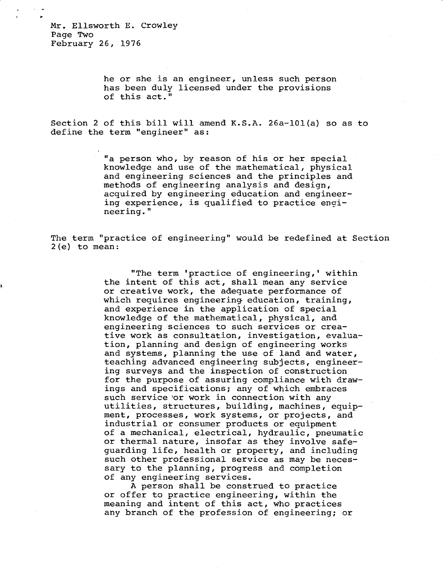Mr. Ellsworth E. Crowley Page Two February 26, 1976

> he or she is an engineer, unless such person has been duly licensed under the provisions of this act."

Section 2 of this bill will amend K.S.A. 26a-101(a) so as to define the term "engineer" as:

> "a person who, by reason of his or her special knowledge and use of the mathematical, physical and engineering sciences and the principles and methods of engineering analysis and design, acquired by engineering education and engineering experience, is qualified to practice engineering."

The term "practice of engineering" would be redefined at Section 2(e) to mean:

> "The term 'practice of engineering,' within the intent of this act, shall mean any service or creative work, the adequate performance of which requires engineering education, training, and experience in the application of special knowledge of the mathematical, physical, and engineering sciences to such services or creative work as consultation, investigation, evaluation, planning and design of engineering works and systems, planning the use of land and water, teaching advanced engineering subjects, engineering surveys and the inspection of construction for the purpose of assuring compliance with drawings and specifications; any of which embraces such service or work in connection with any utilities, structures, building, machines, equipment, processes, work systems, or projects, and industrial or consumer products or equipment of a mechanical, electrical, hydraulic, pneumatic or thermal nature, insofar as they involve safeguarding life, health or property, and including such other professional service as may be necessary to the planning, progress and completion of any engineering services.

A person shall be construed to practice or offer to practice engineering, within the meaning and intent of this act, who practices any branch of the profession of engineering; or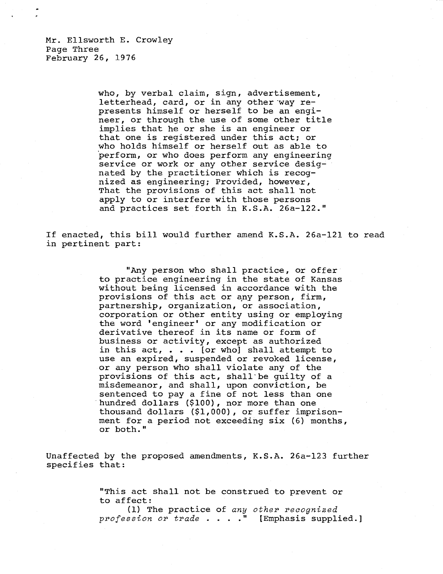Mr. Ellsworth E. Crowley Page Three February 26, 1976

> who, by verbal claim, sign, advertisement, letterhead, card, or in any other way represents himself or herself to be an engineer, or through the use of some other title implies that he or she is an engineer or that one is registered under this act; or who holds himself or herself out as able to perform, or who does perform any engineering service or work or any other service designated by the practitioner which is recognized as engineering; Provided, however, That the provisions of this act shall not apply to or interfere with those persons and practices set forth in K.S.A. 26a-122."

If enacted, this bill would further amend K.S.A. 26a-121 to read in pertinent part:

> "Any person who shall practice, or offer to practice engineering in the state of Kansas without being licensed in accordance with the provisions of this act or any person, firm, partnership, organization, or association, corporation or other entity using or employing the word 'engineer' or any modification or derivative thereof in its name or form of business or activity, except as authorized in this  $act, \ldots$  [or who] shall attempt to use an expired, suspended or revoked license, or any person who shall violate any of the provisions of this act, shall be quilty of a misdemeanor, and shall, upon conviction, be sentenced to pay a fine of not less than one hundred dollars (\$100), nor more than one thousand dollars (\$1,000), or suffer imprisonment for a period not exceeding six (6) months, or both."

Unaffected by the proposed amendments, K.S.A. 26a-123 further specifies that:

> "This act shall not be construed to prevent or to affect:

(1) The practice of any other recognized profession or trade . . . . " [Emphasis supplied.]